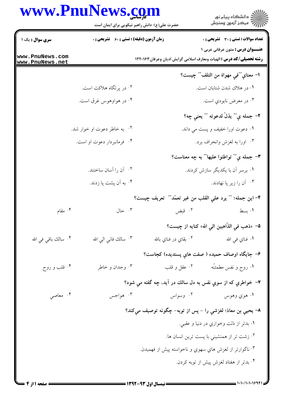عمد :<br>انتشکاه پیام نور<br>این این از است و سندش

حضرت علی(ع): دانش راهبر نیکویی برای ایمان است

| <b>سری سوال :</b> یک ۱             | <b>زمان آزمون (دقیقه) : تستی : 60 ٪ تشریحی : 0</b> |                                                            | <b>تعداد سوالات : تستی : 30 ٪ تشریحی : 0</b>                                                                            |
|------------------------------------|----------------------------------------------------|------------------------------------------------------------|-------------------------------------------------------------------------------------------------------------------------|
| www.PnuNews.com<br>www.PnuNews.net |                                                    |                                                            | <b>عنـــوان درس :</b> متون عرفانی عربی ۱<br><b>رشته تحصیلی/کد درس :</b> الهیات ومعارف اسلامی گرایش ادیان وعرفان ۱۲۲۰۱۶۳ |
|                                    |                                                    |                                                            | ا– معناي ""في مهواة من التلف"" چيست؟                                                                                    |
|                                    | ۰۲ در پرتگاه هلاکت است.                            |                                                            | ۰۱ در هلاك شدن شتابان است.                                                                                              |
|                                    | ۰۴ در هواوهوس غرق است.                             |                                                            | ۰۳ در معرض نابودي است.                                                                                                  |
|                                    |                                                    |                                                            | ٢- جمله ي"" يذلّ لدعوته "" يعني چه؟                                                                                     |
|                                    | ۲. به خاطر دعوت او خوار شد.                        |                                                            | <mark>۱</mark> . دعوت اورا خفيف و پست مي داند.                                                                          |
|                                    | ۰۴ فرمانبردار دعوت او است.                         |                                                            | ۰۳ اورا به لغزش وانحراف برد.                                                                                            |
|                                    |                                                    |                                                            | <b>۳</b> – جمله ي"" تواطئوا عليها"" به چه معناست؟                                                                       |
|                                    | ۰۲ آن را آسان ساختند.                              |                                                            | ۰۱ برسر آن با یکدیگر سازش کردند.                                                                                        |
|                                    | ۰۴ به آن پشت پا زدند.                              |                                                            | ۰۳ آن را زیر پا نهادند.                                                                                                 |
|                                    |                                                    | ۴– اين جمله؛ "″ يرد علي القلب من غير تعمّد″″ تعريف چيست؟   |                                                                                                                         |
| ۰۴ مقام                            | $\cdot$ 7.                                         | ۰۲ قبض                                                     | ۰۱ بسط                                                                                                                  |
|                                    |                                                    |                                                            | ۵− «ذهب في الذّاهبين الي الله» كنايه از چيست؟                                                                           |
| ۰۴ سالك باقى فى الله               | ۰۳ سالك فاني الي الله                              | ۰۲ بقاي در فناي بالله                                      | ۰۱ فناي ف <sub>ي</sub> الله                                                                                             |
|                                    |                                                    |                                                            | ۶– جايگاه اوصاف حميده ( صفت هاي پسنديده) كجاست؟                                                                         |
| ۰۴ قلب و روح                       | ۰۳ وجدان و خاطر                                    |                                                            |                                                                                                                         |
|                                    |                                                    | ٧– خواطري که از سوي نفس به دل سالك در آيد، چه گفته مي شود؟ |                                                                                                                         |
| ۰۴ معاصي                           | ۰۳ هواجس                                           | ۰۲ وسواس                                                   | ۰۱ هوي وهوس                                                                                                             |
|                                    |                                                    | ٨– يحيي بن معاذ؛ لغزشي را – پس از توبه– چگونه توصيف ميكند؟ |                                                                                                                         |
|                                    |                                                    |                                                            | ۰۱ بدتر از ذلت وخواري در دنيا و عقبي.                                                                                   |
|                                    |                                                    |                                                            | ۰۲ زشت تر از همنشینیِ با پست ترین انسان ها.                                                                             |
|                                    |                                                    | ۰۳ ناگوارتر از لغزش هاي سهوي و ناخواسته پيش از فهميدن.     |                                                                                                                         |
|                                    |                                                    |                                                            | ۰۴ بدتر از هفتاد لغزش پیش از توبه کردن.                                                                                 |
|                                    |                                                    |                                                            |                                                                                                                         |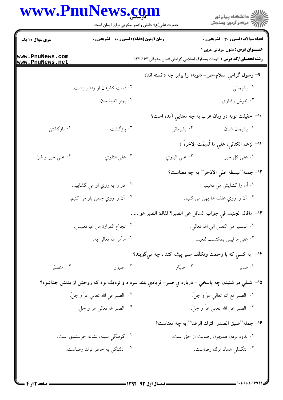ان دانشڪاه پيام نور<br>اڳ مرڪز آزمون وسنڊش حضرت علی(ع): دانش راهبر نیکویی برای ایمان است سری سوال : ۱ یک **تعداد سوالات : تستي : 30 ٪ تشريحي : 0 زمان آزمون (دقیقه) : تستی : 60 ٪ تشریحی : 0 عنــوان درس:** متون عرفانی عربی ۱ www.PnuNews.com **رشته تحصیلی/کد درس :** الهیات ومعارف اسلامی گرایش ادیان وعرفان ۱۲۲۰۱۶۳ www.PnuNews.net ۹- رسول گرامی اسلام-ص- «توبه» را برابر چه دانسته اند؟ ۰۲ دست کشیدن از رفتار زشت. ۰۱ يشيماني. ۰۳ خوش رفتاری. ۰۴ بهتر انديشيدن. +ا– حقیقت توبه در زبان عرب به چه معنایی آمده است؟ ۰۴ بازگشتن ۰۲ پشیمانی ۰۳ ماز گشت ۰۱ يشيمان شدن اا- لزعم الكناني؛ على ما قُسِمَت الآخرةُ ؟ ۰۴ عل*ی خ*یر و شرّ ۰۳ علی التقوی ١٢- جمله""نبسطه على الاذخر"" به چه معناست؟ ۰۲ در را به روي او مي گشاييم. ۰۱ آن را گشایش می دهیم. ۰۴ آن را روي چمن باز مي کنيم. ۰۳ آن را روی علف ها پهن مي کنيم. ١٣- ماقال الجنيد، في جواب السائل عن الصبر؟ فقال: الصبر هو ... . ٢. تجرّع المرارة من غيرتعبيس. **۱.** المسير من النفس ال<sub>ى</sub> الله تعالى. ۰۴ ماأمر الله تعال<sub>ى</sub> به. ۰۳ على ما ليس بمكتسب للعبد. ۱۴− به کس*ی* که با زحمت وتکلّف صبر پیشه کند ، چه م*ی گو*یند؟ ۴. متصبّر ۰۲ صیّاد ۰۳ صبور ۰۱ صابر ۱۵− شبلی در شنيدن چه پاسخي – درباره ي صبر– فريادي بلند سرداد و نزديك بود كه روحش از بدنش جداشود؟ **۱.** الصبر مع الله تعال<sub>ى</sub> عزّ و جلّ. ٢. الصبر في الله تعالى عزّ و جلّ. ۰۴ الصبر لله تعال<sub>ي</sub> عزّ و جلّ. ٣. الصبر عن الله تعالي عزّ و جلّ. ١۶- جمله""ضيق الصدر لترك الرضا"" به چه معناست؟ ۰۲ گرفتگي سينه، نشانه خرسندي است. ۰۱ اندوه بردن همچون رضایت از حق است. ۰۳ تنگدلی همانا ترك رضاست. ۰۴ دلتنگی به خاطر ترك رضاست.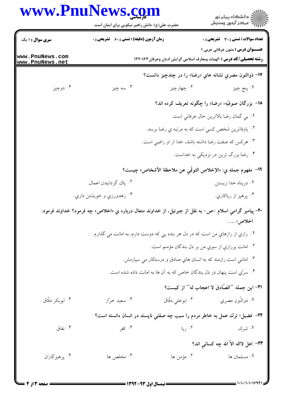|                                    | www.PnuNews.com<br>حضرت علی(ع): دانش راهبر نیکویی برای ایمان است                                               |                                                                            | ان دانشگاه پيام نور<br>اس مرکز آزمون وسنجش                                                                             |  |  |
|------------------------------------|----------------------------------------------------------------------------------------------------------------|----------------------------------------------------------------------------|------------------------------------------------------------------------------------------------------------------------|--|--|
| <b>سری سوال : ۱ یک</b>             | <b>زمان آزمون (دقیقه) : تستی : 60 ٪ تشریحی : 0</b>                                                             |                                                                            | تعداد سوالات : تستي : 30 - تشريحي : 0                                                                                  |  |  |
| www.PnuNews.com<br>www.PnuNews.net |                                                                                                                |                                                                            | <b>عنـــوان درس :</b> متون عرفاني عربي 1<br><b>رشته تحصیلی/کد درس :</b> الهیات ومعارف اسلامی گرایش ادیان وعرفان۱۲۲۰۱۶۳ |  |  |
|                                    |                                                                                                                |                                                                            | ۱۷– ذوالنون مصري نشانه هاي «رضا» را در چندچيز دانست؟                                                                   |  |  |
| ۰۴ دوچيز                           | ۰۳ سه چيز                                                                                                      | ۰۲ چهارچيز                                                                 | ۰۱ پنج چيز                                                                                                             |  |  |
|                                    |                                                                                                                |                                                                            | ۱۸– بزرگان صوفیّه؛ «رضا» را چگونه تعریف کرده اند؟                                                                      |  |  |
|                                    |                                                                                                                |                                                                            | <b>۱</b> . بي گمان رضا بالاترين حال عرفاني است.                                                                        |  |  |
|                                    |                                                                                                                | ۰۲ باوفاترین شخص کس <i>ي</i> است که به مرتبه ي رضا برسد.                   |                                                                                                                        |  |  |
|                                    |                                                                                                                | ۰۳ هرکس که صفت رضا داشته باشد، خدا از او راضي است.                         |                                                                                                                        |  |  |
|                                    |                                                                                                                |                                                                            | ۰۴ رضا بزرگ ترین در نزدیکي به خداست.                                                                                   |  |  |
|                                    |                                                                                                                |                                                                            | 19- مفهوم جمله ي: «الإخلاص التوقّي عن ملاحظة الأشخاص» چيست؟                                                            |  |  |
|                                    | ۰۲ پاك گردانيدن اعمال.                                                                                         |                                                                            | ۰۱ درپناه خدا زیستن.                                                                                                   |  |  |
|                                    | ۰۴ زهدورزي و خويشتن داري.                                                                                      |                                                                            | ۰۳ پرهيز از رياكاري.                                                                                                   |  |  |
|                                    | + <b>۲-</b> پیامبر گرامی اسلام –ص– به نقل از جبرئیل، از خداوند متعال درباره یِ «اخلاص» چه فرمود؟ خداوند فرمود: |                                                                            | <b>اخلاص؛  .</b>                                                                                                       |  |  |
|                                    | ۰۱ رازي از رازهاي من است كه در دل هر بنده يي كه دوست دارم، به امانت مي گذارم.                                  |                                                                            |                                                                                                                        |  |  |
|                                    | ۰۲ امانت پررازي از سوي من بر دل بندگان مؤمنم است.                                                              |                                                                            |                                                                                                                        |  |  |
|                                    |                                                                                                                | ۰۳ امانت <sub>ی</sub> است رازمند که به انسان هاي صادق و درستکار می سپارمش. |                                                                                                                        |  |  |
|                                    |                                                                                                                | ۰۴ سرّی است پنهان در دل بندگان خاص که به آن ها به امانت داده شده است.      |                                                                                                                        |  |  |
|                                    |                                                                                                                |                                                                            | <u>۰</u> ۲۱ این جمله ""الصّادق لا اعجاب له"" از کیست؟                                                                  |  |  |
| ۰۴ ابوبکر دقاق                     | ۰۳ سعید خرّاز                                                                                                  | ۰۲ ابوعلی دقّاق                                                            | ٠١ ذوالنُّون مصري                                                                                                      |  |  |
|                                    | ۲۲– فضیل؛ ترك عمل به خاطر مردم را سبب چه صفتی ناپسند در انسان دانسته است؟                                      |                                                                            |                                                                                                                        |  |  |
| ۰۴ نفاق                            | ۰۳ کفر                                                                                                         | ۰۲ ريا                                                                     | ۰۱ شرك                                                                                                                 |  |  |
|                                    |                                                                                                                |                                                                            | ٢٣- اهل لااله الاَّ الله چه کسانی اند؟                                                                                 |  |  |
| ۰۴ پرهيزگاران                      | ۰۳ مخلص ها                                                                                                     | ۰۲ مؤمن ها                                                                 | ٠١ مسلمان ها                                                                                                           |  |  |

= 1 . 1 . / 1 . 1 . 1 . 9 9 1